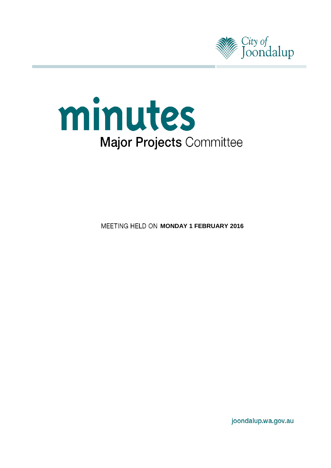



**MEETING HELD ON MONDAY 1 FEBRUARY 2016** 

joondalup.wa.gov.au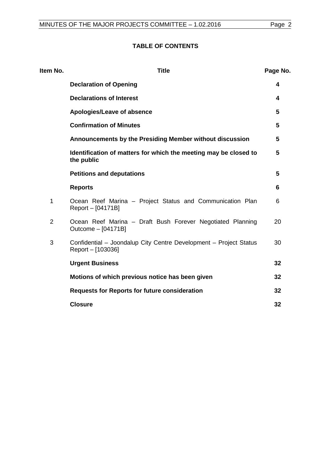# **TABLE OF CONTENTS**

| Item No.       | <b>Title</b>                                                                           | Page No. |
|----------------|----------------------------------------------------------------------------------------|----------|
|                | <b>Declaration of Opening</b>                                                          | 4        |
|                | <b>Declarations of Interest</b>                                                        | 4        |
|                | Apologies/Leave of absence                                                             | 5        |
|                | <b>Confirmation of Minutes</b>                                                         | 5        |
|                | Announcements by the Presiding Member without discussion                               | 5        |
|                | Identification of matters for which the meeting may be closed to<br>the public         | 5        |
|                | <b>Petitions and deputations</b>                                                       | 5        |
|                | <b>Reports</b>                                                                         | 6        |
| 1              | Ocean Reef Marina - Project Status and Communication Plan<br>Report - [04171B]         | 6        |
| $\overline{2}$ | Ocean Reef Marina - Draft Bush Forever Negotiated Planning<br>Outcome - [04171B]       | 20       |
| 3              | Confidential - Joondalup City Centre Development - Project Status<br>Report - [103036] | 30       |
|                | <b>Urgent Business</b>                                                                 | 32       |
|                | Motions of which previous notice has been given                                        | 32       |
|                | <b>Requests for Reports for future consideration</b>                                   | 32       |
|                | <b>Closure</b>                                                                         | 32       |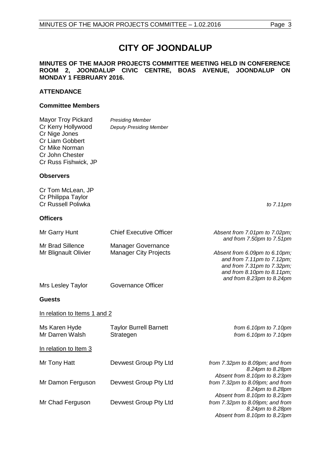# **CITY OF JOONDALUP**

### **MINUTES OF THE MAJOR PROJECTS COMMITTEE MEETING HELD IN CONFERENCE ROOM 2, JOONDALUP CIVIC CENTRE, BOAS AVENUE, JOONDALUP ON MONDAY 1 FEBRUARY 2016.**

# **ATTENDANCE**

#### **Committee Members**

| <b>Mayor Troy Pickard</b><br>Cr Kerry Hollywood<br>Cr Nige Jones<br>Cr Liam Gobbert<br>Cr Mike Norman<br>Cr John Chester<br>Cr Russ Fishwick, JP | <b>Presiding Member</b><br><b>Deputy Presiding Member</b> |                                                                                                                                                      |
|--------------------------------------------------------------------------------------------------------------------------------------------------|-----------------------------------------------------------|------------------------------------------------------------------------------------------------------------------------------------------------------|
| <b>Observers</b>                                                                                                                                 |                                                           |                                                                                                                                                      |
| Cr Tom McLean, JP<br>Cr Philippa Taylor<br>Cr Russell Poliwka                                                                                    |                                                           | to $7.11$ pm                                                                                                                                         |
| <b>Officers</b>                                                                                                                                  |                                                           |                                                                                                                                                      |
| Mr Garry Hunt                                                                                                                                    | <b>Chief Executive Officer</b>                            | Absent from 7.01pm to 7.02pm;<br>and from 7.50pm to 7.51pm                                                                                           |
| Mr Brad Sillence<br>Mr Blignault Olivier                                                                                                         | <b>Manager Governance</b><br><b>Manager City Projects</b> | Absent from 6.09pm to 6.10pm;<br>and from 7.11pm to 7.12pm;<br>and from 7.31pm to 7.32pm;<br>and from 8.10pm to 8.11pm;<br>and from 8.23pm to 8.24pm |
| Mrs Lesley Taylor                                                                                                                                | Governance Officer                                        |                                                                                                                                                      |
| <b>Guests</b>                                                                                                                                    |                                                           |                                                                                                                                                      |
| In relation to Items 1 and 2                                                                                                                     |                                                           |                                                                                                                                                      |
| Ms Karen Hyde<br>Mr Darren Walsh                                                                                                                 | <b>Taylor Burrell Barnett</b><br>Strategen                | from $6.10pm$ to $7.10pm$<br>from $6.10pm$ to $7.10pm$                                                                                               |
| In relation to Item 3                                                                                                                            |                                                           |                                                                                                                                                      |
| Mr Tony Hatt                                                                                                                                     | Devwest Group Pty Ltd                                     | from 7.32pm to 8.09pm; and from<br>8.24pm to 8.28pm<br>Absent from 8.10pm to 8.23pm                                                                  |
| Mr Damon Ferguson                                                                                                                                | Devwest Group Pty Ltd                                     | from 7.32pm to 8.09pm; and from<br>8.24pm to 8.28pm<br>Absent from 8.10pm to 8.23pm                                                                  |
| Mr Chad Ferguson                                                                                                                                 | Devwest Group Pty Ltd                                     | from 7.32pm to 8.09pm; and from<br>8.24pm to 8.28pm<br>Absent from 8.10pm to 8.23pm                                                                  |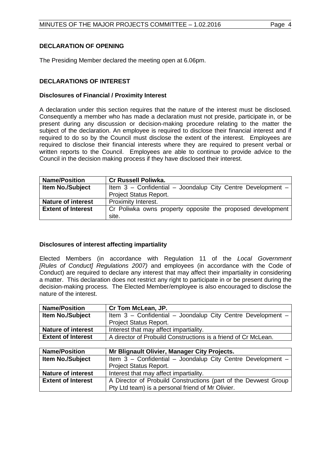# <span id="page-3-0"></span>**DECLARATION OF OPENING**

The Presiding Member declared the meeting open at 6.06pm.

# <span id="page-3-1"></span>**DECLARATIONS OF INTEREST**

# **Disclosures of Financial / Proximity Interest**

A declaration under this section requires that the nature of the interest must be disclosed. Consequently a member who has made a declaration must not preside, participate in, or be present during any discussion or decision-making procedure relating to the matter the subject of the declaration. An employee is required to disclose their financial interest and if required to do so by the Council must disclose the extent of the interest. Employees are required to disclose their financial interests where they are required to present verbal or written reports to the Council. Employees are able to continue to provide advice to the Council in the decision making process if they have disclosed their interest.

| <b>Name/Position</b>      | <b>Cr Russell Poliwka.</b>                                  |  |  |
|---------------------------|-------------------------------------------------------------|--|--|
| <b>Item No./Subject</b>   | Item 3 - Confidential - Joondalup City Centre Development - |  |  |
|                           | Project Status Report.                                      |  |  |
| <b>Nature of interest</b> | Proximity Interest.                                         |  |  |
| <b>Extent of Interest</b> | Cr Poliwka owns property opposite the proposed development  |  |  |
|                           | site.                                                       |  |  |

# **Disclosures of interest affecting impartiality**

Elected Members (in accordance with Regulation 11 of the *Local Government [Rules of Conduct] Regulations 2007)* and employees (in accordance with the Code of Conduct) are required to declare any interest that may affect their impartiality in considering a matter. This declaration does not restrict any right to participate in or be present during the decision-making process. The Elected Member/employee is also encouraged to disclose the nature of the interest.

| <b>Name/Position</b>      | Cr Tom McLean, JP.                                              |  |
|---------------------------|-----------------------------------------------------------------|--|
| Item No./Subject          | Item 3 - Confidential - Joondalup City Centre Development -     |  |
|                           | Project Status Report.                                          |  |
| <b>Nature of interest</b> | Interest that may affect impartiality.                          |  |
| <b>Extent of Interest</b> | A director of Probuild Constructions is a friend of Cr McLean.  |  |
|                           |                                                                 |  |
|                           |                                                                 |  |
| <b>Name/Position</b>      | Mr Blignault Olivier, Manager City Projects.                    |  |
| Item No./Subject          | Item 3 - Confidential - Joondalup City Centre Development -     |  |
|                           | <b>Project Status Report.</b>                                   |  |
| <b>Nature of interest</b> | Interest that may affect impartiality.                          |  |
| <b>Extent of Interest</b> | A Director of Probuild Constructions (part of the Devwest Group |  |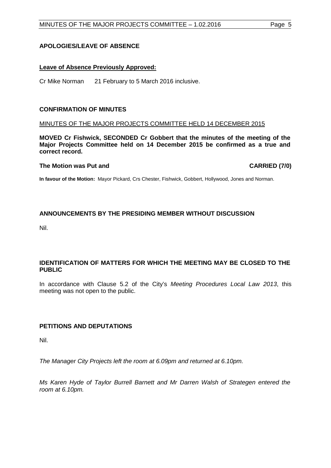# <span id="page-4-0"></span>**APOLOGIES/LEAVE OF ABSENCE**

## **Leave of Absence Previously Approved:**

Cr Mike Norman 21 February to 5 March 2016 inclusive.

#### <span id="page-4-1"></span>**CONFIRMATION OF MINUTES**

#### MINUTES OF THE MAJOR PROJECTS COMMITTEE HELD 14 DECEMBER 2015

**MOVED Cr Fishwick, SECONDED Cr Gobbert that the minutes of the meeting of the Major Projects Committee held on 14 December 2015 be confirmed as a true and correct record.**

#### **The Motion was Put and CARRIED (7/0)**

**In favour of the Motion:** Mayor Pickard, Crs Chester, Fishwick, Gobbert, Hollywood, Jones and Norman.

# <span id="page-4-2"></span>**ANNOUNCEMENTS BY THE PRESIDING MEMBER WITHOUT DISCUSSION**

Nil.

# <span id="page-4-3"></span>**IDENTIFICATION OF MATTERS FOR WHICH THE MEETING MAY BE CLOSED TO THE PUBLIC**

In accordance with Clause 5.2 of the City's *Meeting Procedures Local Law 2013*, this meeting was not open to the public.

# <span id="page-4-4"></span>**PETITIONS AND DEPUTATIONS**

Nil.

*The Manager City Projects left the room at 6.09pm and returned at 6.10pm.*

*Ms Karen Hyde of Taylor Burrell Barnett and Mr Darren Walsh of Strategen entered the room at 6.10pm.*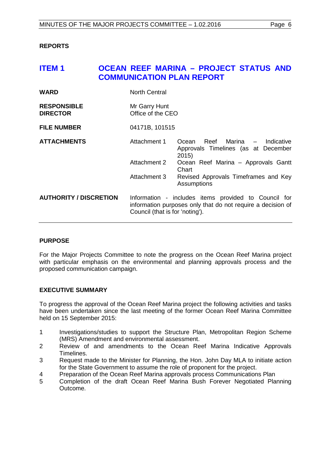# <span id="page-5-0"></span>**REPORTS**

# <span id="page-5-1"></span>**ITEM 1 OCEAN REEF MARINA – PROJECT STATUS AND COMMUNICATION PLAN REPORT**

| <b>WARD</b>                           | <b>North Central</b>               |                                                                                                                     |
|---------------------------------------|------------------------------------|---------------------------------------------------------------------------------------------------------------------|
| <b>RESPONSIBLE</b><br><b>DIRECTOR</b> | Mr Garry Hunt<br>Office of the CEO |                                                                                                                     |
| <b>FILE NUMBER</b>                    | 04171B, 101515                     |                                                                                                                     |
| <b>ATTACHMENTS</b>                    | Attachment 1                       | Reef Marina - Indicative<br>Ocean<br>Approvals Timelines (as at December<br>2015)                                   |
|                                       | Attachment 2                       | Ocean Reef Marina - Approvals Gantt<br>Chart                                                                        |
|                                       | Attachment 3                       | Revised Approvals Timeframes and Key<br>Assumptions                                                                 |
| <b>AUTHORITY / DISCRETION</b>         | Council (that is for 'noting').    | Information - includes items provided to Council for<br>information purposes only that do not require a decision of |

# **PURPOSE**

For the Major Projects Committee to note the progress on the Ocean Reef Marina project with particular emphasis on the environmental and planning approvals process and the proposed communication campaign.

# **EXECUTIVE SUMMARY**

To progress the approval of the Ocean Reef Marina project the following activities and tasks have been undertaken since the last meeting of the former Ocean Reef Marina Committee held on 15 September 2015:

- 1 Investigations/studies to support the Structure Plan, Metropolitan Region Scheme (MRS) Amendment and environmental assessment.
- 2 Review of and amendments to the Ocean Reef Marina Indicative Approvals Timelines.
- 3 Request made to the Minister for Planning, the Hon. John Day MLA to initiate action for the State Government to assume the role of proponent for the project.
- 4 Preparation of the Ocean Reef Marina approvals process Communications Plan<br>5 Completion of the draft Ocean Reef Marina Bush Forever Negotiated Pla
- 5 Completion of the draft Ocean Reef Marina Bush Forever Negotiated Planning Outcome.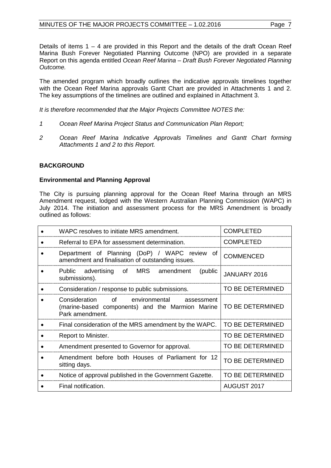Details of items 1 – 4 are provided in this Report and the details of the draft Ocean Reef Marina Bush Forever Negotiated Planning Outcome (NPO) are provided in a separate Report on this agenda entitled *Ocean Reef Marina – Draft Bush Forever Negotiated Planning Outcome.*

The amended program which broadly outlines the indicative approvals timelines together with the Ocean Reef Marina approvals Gantt Chart are provided in Attachments 1 and 2. The key assumptions of the timelines are outlined and explained in Attachment 3.

*It is therefore recommended that the Major Projects Committee NOTES the:*

- *1 Ocean Reef Marina Project Status and Communication Plan Report;*
- *2 Ocean Reef Marina Indicative Approvals Timelines and Gantt Chart forming Attachments 1 and 2 to this Report.*

# **BACKGROUND**

# **Environmental and Planning Approval**

The City is pursuing planning approval for the Ocean Reef Marina through an MRS Amendment request, lodged with the Western Australian Planning Commission (WAPC) in July 2014. The initiation and assessment process for the MRS Amendment is broadly outlined as follows:

| WAPC resolves to initiate MRS amendment.                                                                               | <b>COMPLETED</b> |
|------------------------------------------------------------------------------------------------------------------------|------------------|
| Referral to EPA for assessment determination.                                                                          | <b>COMPLETED</b> |
| Department of Planning (DoP) / WAPC review of<br>amendment and finalisation of outstanding issues.                     | <b>COMMENCED</b> |
| Public advertising of MRS amendment<br>(public<br>submissions).                                                        | JANUARY 2016     |
| Consideration / response to public submissions.                                                                        | TO BE DETERMINED |
| of environmental<br>Consideration<br>assessment<br>(marine-based components) and the Marmion Marine<br>Park amendment. | TO BE DETERMINED |
| Final consideration of the MRS amendment by the WAPC.                                                                  | TO BE DETERMINED |
| Report to Minister.                                                                                                    | TO BE DETERMINED |
| Amendment presented to Governor for approval.                                                                          | TO BE DETERMINED |
| Amendment before both Houses of Parliament for 12<br>sitting days.                                                     | TO BE DETERMINED |
| Notice of approval published in the Government Gazette.                                                                | TO BE DETERMINED |
| Final notification.                                                                                                    | AUGUST 2017      |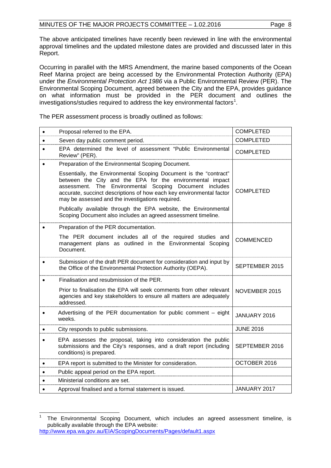The above anticipated timelines have recently been reviewed in line with the environmental approval timelines and the updated milestone dates are provided and discussed later in this Report.

Occurring in parallel with the MRS Amendment, the marine based components of the Ocean Reef Marina project are being accessed by the Environmental Protection Authority (EPA) under the *Environmental Protection Act 1986* via a Public Environmental Review (PER). The Environmental Scoping Document, agreed between the City and the EPA, provides guidance on what information must be provided in the PER document and outlines the investigations/studies required to address the key environmental factors<sup>[1](#page-7-0)</sup>.

The PER assessment process is broadly outlined as follows:

| $\bullet$ | Proposal referred to the EPA.                                                                                                                                                                                                                                                                                         | <b>COMPLETED</b> |
|-----------|-----------------------------------------------------------------------------------------------------------------------------------------------------------------------------------------------------------------------------------------------------------------------------------------------------------------------|------------------|
| $\bullet$ | Seven day public comment period.                                                                                                                                                                                                                                                                                      | <b>COMPLETED</b> |
|           | EPA determined the level of assessment "Public Environmental<br>Review" (PER).                                                                                                                                                                                                                                        | <b>COMPLETED</b> |
|           | Preparation of the Environmental Scoping Document.                                                                                                                                                                                                                                                                    |                  |
|           | Essentially, the Environmental Scoping Document is the "contract"<br>between the City and the EPA for the environmental impact<br>assessment. The Environmental Scoping Document includes<br>accurate, succinct descriptions of how each key environmental factor<br>may be assessed and the investigations required. | <b>COMPLETED</b> |
|           | Publically available through the EPA website, the Environmental<br>Scoping Document also includes an agreed assessment timeline.                                                                                                                                                                                      |                  |
|           | Preparation of the PER documentation.                                                                                                                                                                                                                                                                                 |                  |
|           | The PER document includes all of the required studies and<br>management plans as outlined in the Environmental Scoping<br>Document.                                                                                                                                                                                   | <b>COMMENCED</b> |
|           | Submission of the draft PER document for consideration and input by<br>the Office of the Environmental Protection Authority (OEPA).                                                                                                                                                                                   | SEPTEMBER 2015   |
|           | Finalisation and resubmission of the PER.                                                                                                                                                                                                                                                                             |                  |
|           | Prior to finalisation the EPA will seek comments from other relevant<br>agencies and key stakeholders to ensure all matters are adequately<br>addressed.                                                                                                                                                              | NOVEMBER 2015    |
|           | Advertising of the PER documentation for public comment - eight<br>weeks.                                                                                                                                                                                                                                             | JANUARY 2016     |
|           | City responds to public submissions.                                                                                                                                                                                                                                                                                  | <b>JUNE 2016</b> |
|           | EPA assesses the proposal, taking into consideration the public<br>submissions and the City's responses, and a draft report (including<br>conditions) is prepared.                                                                                                                                                    | SEPTEMBER 2016   |
| $\bullet$ | EPA report is submitted to the Minister for consideration.                                                                                                                                                                                                                                                            | OCTOBER 2016     |
|           | Public appeal period on the EPA report.                                                                                                                                                                                                                                                                               |                  |
| $\bullet$ | Ministerial conditions are set.                                                                                                                                                                                                                                                                                       |                  |
|           | Approval finalised and a formal statement is issued.                                                                                                                                                                                                                                                                  | JANUARY 2017     |

<span id="page-7-0"></span>The Environmental Scoping Document, which includes an agreed assessment timeline, is publically available through the EPA website: <http://www.epa.wa.gov.au/EIA/ScopingDocuments/Pages/default1.aspx>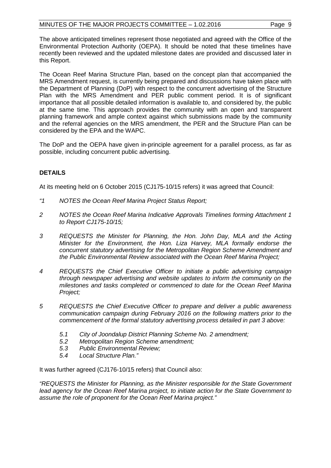The above anticipated timelines represent those negotiated and agreed with the Office of the Environmental Protection Authority (OEPA). It should be noted that these timelines have recently been reviewed and the updated milestone dates are provided and discussed later in this Report.

The Ocean Reef Marina Structure Plan, based on the concept plan that accompanied the MRS Amendment request, is currently being prepared and discussions have taken place with the Department of Planning (DoP) with respect to the concurrent advertising of the Structure Plan with the MRS Amendment and PER public comment period. It is of significant importance that all possible detailed information is available to, and considered by, the public at the same time. This approach provides the community with an open and transparent planning framework and ample context against which submissions made by the community and the referral agencies on the MRS amendment, the PER and the Structure Plan can be considered by the EPA and the WAPC.

The DoP and the OEPA have given in-principle agreement for a parallel process, as far as possible, including concurrent public advertising.

# **DETAILS**

At its meeting held on 6 October 2015 (CJ175-10/15 refers) it was agreed that Council:

- *"1 NOTES the Ocean Reef Marina Project Status Report;*
- *2 NOTES the Ocean Reef Marina Indicative Approvals Timelines forming Attachment 1 to Report CJ175-10/15;*
- *3 REQUESTS the Minister for Planning, the Hon. John Day, MLA and the Acting Minister for the Environment, the Hon. Liza Harvey, MLA formally endorse the concurrent statutory advertising for the Metropolitan Region Scheme Amendment and the Public Environmental Review associated with the Ocean Reef Marina Project;*
- *4 REQUESTS the Chief Executive Officer to initiate a public advertising campaign through newspaper advertising and website updates to inform the community on the milestones and tasks completed or commenced to date for the Ocean Reef Marina Project;*
- *5 REQUESTS the Chief Executive Officer to prepare and deliver a public awareness communication campaign during February 2016 on the following matters prior to the commencement of the formal statutory advertising process detailed in part 3 above:*
	- *5.1 City of Joondalup District Planning Scheme No. 2 amendment;*
	- *5.2 Metropolitan Region Scheme amendment;*
	- *5.3 Public Environmental Review;*
	- *5.4 Local Structure Plan."*

It was further agreed (CJ176-10/15 refers) that Council also:

*"REQUESTS the Minister for Planning, as the Minister responsible for the State Government lead agency for the Ocean Reef Marina project, to initiate action for the State Government to assume the role of proponent for the Ocean Reef Marina project."*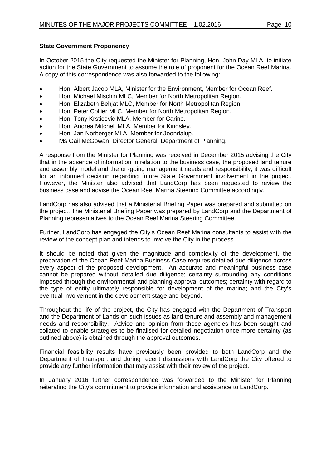# **State Government Proponency**

In October 2015 the City requested the Minister for Planning, Hon. John Day MLA, to initiate action for the State Government to assume the role of proponent for the Ocean Reef Marina. A copy of this correspondence was also forwarded to the following:

- Hon. Albert Jacob MLA, Minister for the Environment, Member for Ocean Reef.
- Hon. Michael Mischin MLC, Member for North Metropolitan Region.
- Hon. Elizabeth Behjat MLC, Member for North Metropolitan Region.
- Hon. Peter Collier MLC, Member for North Metropolitan Region.
- Hon. Tony Krsticevic MLA, Member for Carine.
- Hon. Andrea Mitchell MLA, Member for Kingsley.
- Hon. Jan Norberger MLA, Member for Joondalup.
- Ms Gail McGowan, Director General, Department of Planning.

A response from the Minister for Planning was received in December 2015 advising the City that in the absence of information in relation to the business case, the proposed land tenure and assembly model and the on-going management needs and responsibility, it was difficult for an informed decision regarding future State Government involvement in the project. However, the Minister also advised that LandCorp has been requested to review the business case and advise the Ocean Reef Marina Steering Committee accordingly.

LandCorp has also advised that a Ministerial Briefing Paper was prepared and submitted on the project. The Ministerial Briefing Paper was prepared by LandCorp and the Department of Planning representatives to the Ocean Reef Marina Steering Committee.

Further, LandCorp has engaged the City's Ocean Reef Marina consultants to assist with the review of the concept plan and intends to involve the City in the process.

It should be noted that given the magnitude and complexity of the development, the preparation of the Ocean Reef Marina Business Case requires detailed due diligence across every aspect of the proposed development. An accurate and meaningful business case cannot be prepared without detailed due diligence; certainty surrounding any conditions imposed through the environmental and planning approval outcomes; certainty with regard to the type of entity ultimately responsible for development of the marina; and the City's eventual involvement in the development stage and beyond.

Throughout the life of the project, the City has engaged with the Department of Transport and the Department of Lands on such issues as land tenure and assembly and management needs and responsibility. Advice and opinion from these agencies has been sought and collated to enable strategies to be finalised for detailed negotiation once more certainty (as outlined above) is obtained through the approval outcomes.

Financial feasibility results have previously been provided to both LandCorp and the Department of Transport and during recent discussions with LandCorp the City offered to provide any further information that may assist with their review of the project.

In January 2016 further correspondence was forwarded to the Minister for Planning reiterating the City's commitment to provide information and assistance to LandCorp.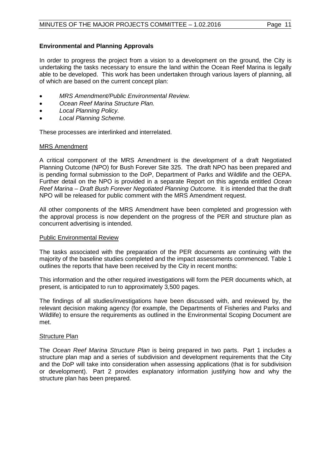# **Environmental and Planning Approvals**

In order to progress the project from a vision to a development on the ground, the City is undertaking the tasks necessary to ensure the land within the Ocean Reef Marina is legally able to be developed. This work has been undertaken through various layers of planning, all of which are based on the current concept plan:

- *MRS Amendment/Public Environmental Review.*
- *Ocean Reef Marina Structure Plan.*
- *Local Planning Policy.*
- *Local Planning Scheme.*

These processes are interlinked and interrelated.

# MRS Amendment

A critical component of the MRS Amendment is the development of a draft Negotiated Planning Outcome (NPO) for Bush Forever Site 325. The draft NPO has been prepared and is pending formal submission to the DoP, Department of Parks and Wildlife and the OEPA. Further detail on the NPO is provided in a separate Report on this agenda entitled *Ocean Reef Marina – Draft Bush Forever Negotiated Planning Outcome.* It is intended that the draft NPO will be released for public comment with the MRS Amendment request.

All other components of the MRS Amendment have been completed and progression with the approval process is now dependent on the progress of the PER and structure plan as concurrent advertising is intended.

#### Public Environmental Review

The tasks associated with the preparation of the PER documents are continuing with the majority of the baseline studies completed and the impact assessments commenced. Table 1 outlines the reports that have been received by the City in recent months:

This information and the other required investigations will form the PER documents which, at present, is anticipated to run to approximately 3,500 pages.

The findings of all studies/investigations have been discussed with, and reviewed by, the relevant decision making agency (for example, the Departments of Fisheries and Parks and Wildlife) to ensure the requirements as outlined in the Environmental Scoping Document are met.

#### Structure Plan

The *Ocean Reef Marina Structure Plan* is being prepared in two parts. Part 1 includes a structure plan map and a series of subdivision and development requirements that the City and the DoP will take into consideration when assessing applications (that is for subdivision or development). Part 2 provides explanatory information justifying how and why the structure plan has been prepared.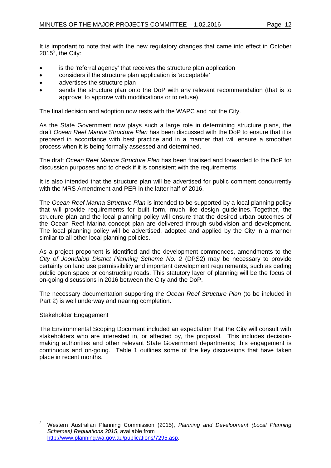It is important to note that with the new regulatory changes that came into effect in October [2](#page-11-0)015<sup>2</sup>, the City:

- is the 'referral agency' that receives the structure plan application
- considers if the structure plan application is 'acceptable'
- advertises the structure plan
- sends the structure plan onto the DoP with any relevant recommendation (that is to approve; to approve with modifications or to refuse).

The final decision and adoption now rests with the WAPC and not the City.

As the State Government now plays such a large role in determining structure plans, the draft *Ocean Reef Marina Structure Plan* has been discussed with the DoP to ensure that it is prepared in accordance with best practice and in a manner that will ensure a smoother process when it is being formally assessed and determined.

The draft *Ocean Reef Marina Structure Plan* has been finalised and forwarded to the DoP for discussion purposes and to check if it is consistent with the requirements.

It is also intended that the structure plan will be advertised for public comment concurrently with the MRS Amendment and PER in the latter half of 2016.

The *Ocean Reef Marina Structure Plan* is intended to be supported by a local planning policy that will provide requirements for built form, much like design guidelines. Together, the structure plan and the local planning policy will ensure that the desired urban outcomes of the Ocean Reef Marina concept plan are delivered through subdivision and development. The local planning policy will be advertised, adopted and applied by the City in a manner similar to all other local planning policies.

As a project proponent is identified and the development commences, amendments to the *City of Joondalup District Planning Scheme No. 2* (DPS2) may be necessary to provide certainty on land use permissibility and important development requirements, such as ceding public open space or constructing roads. This statutory layer of planning will be the focus of on-going discussions in 2016 between the City and the DoP.

The necessary documentation supporting the *Ocean Reef Structure Plan* (to be included in Part 2) is well underway and nearing completion.

# Stakeholder Engagement

The Environmental Scoping Document included an expectation that the City will consult with stakeholders who are interested in, or affected by, the proposal. This includes decisionmaking authorities and other relevant State Government departments; this engagement is continuous and on-going. Table 1 outlines some of the key discussions that have taken place in recent months.

<span id="page-11-0"></span> <sup>2</sup> Western Australian Planning Commission (2015), *Planning and Development (Local Planning Schemes) Regulations 2015*, available from [http://www.planning.wa.gov.au/publications/7295.asp.](http://www.planning.wa.gov.au/publications/7295.asp)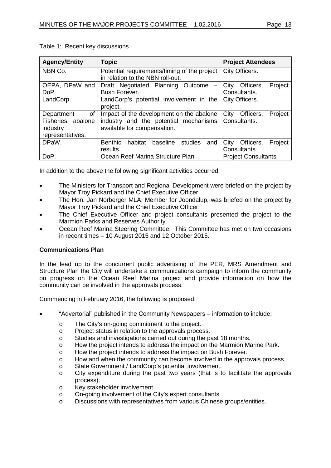| <b>Agency/Entity</b> | <b>Topic</b>                                            | <b>Project Attendees</b>     |
|----------------------|---------------------------------------------------------|------------------------------|
| NBN Co.              | Potential requirements/timing of the project            | City Officers.               |
|                      | in relation to the NBN roll-out.                        |                              |
| OEPA, DPaW and       | Draft Negotiated Planning Outcome<br>$\qquad \qquad -$  | Project<br>City<br>Officers, |
| DoP.                 | Bush Forever.                                           | Consultants.                 |
| LandCorp.            | LandCorp's potential involvement in the                 | City Officers.               |
|                      | project.                                                |                              |
| of<br>Department     | Impact of the development on the abalone                | City<br>Officers,<br>Project |
| Fisheries, abalone   | industry and the potential mechanisms                   | Consultants.                 |
| industry             | available for compensation.                             |                              |
| representatives.     |                                                         |                              |
| DPaW.                | <b>Benthic</b><br>habitat<br>baseline<br>studies<br>and | City<br>Project<br>Officers, |
|                      | results.                                                | Consultants.                 |
| DoP.                 | Ocean Reef Marina Structure Plan.                       | <b>Project Consultants.</b>  |

# Table 1: Recent key discussions

In addition to the above the following significant activities occurred:

- The Ministers for Transport and Regional Development were briefed on the project by Mayor Troy Pickard and the Chief Executive Officer.
- The Hon. Jan Norberger MLA, Member for Joondalup, was briefed on the project by Mayor Troy Pickard and the Chief Executive Officer.
- The Chief Executive Officer and project consultants presented the project to the Marmion Parks and Reserves Authority.
- Ocean Reef Marina Steering Committee: This Committee has met on two occasions in recent times – 10 August 2015 and 12 October 2015.

# **Communications Plan**

In the lead up to the concurrent public advertising of the PER, MRS Amendment and Structure Plan the City will undertake a communications campaign to inform the community on progress on the Ocean Reef Marina project and provide information on how the community can be involved in the approvals process.

Commencing in February 2016, the following is proposed:

- "Advertorial" published in the Community Newspapers information to include:
	- o The City's on-going commitment to the project.<br> **o** Project status in relation to the approvals proce
	- o Project status in relation to the approvals process.<br>
	o Studies and investigations carried out during the p
	- o Studies and investigations carried out during the past 18 months.<br>  $\circ$  How the project intends to address the impact on the Marmion Ma
	- How the project intends to address the impact on the Marmion Marine Park.
	- o How the project intends to address the impact on Bush Forever.
	- o How and when the community can become involved in the approvals process.
	- o State Government / LandCorp's potential involvement.
	- o City expenditure during the past two years (that is to facilitate the approvals process).
	- o Key stakeholder involvement
	- o On-going involvement of the City's expert consultants<br>
	On Discussions with representatives from various Chines
	- Discussions with representatives from various Chinese groups/entities.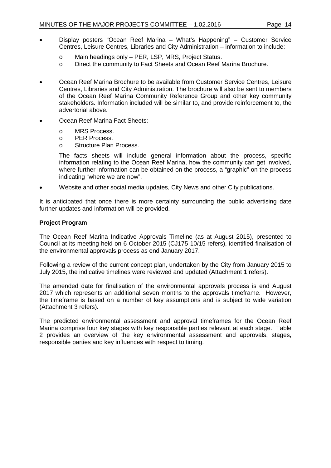- Display posters "Ocean Reef Marina What's Happening" Customer Service Centres, Leisure Centres, Libraries and City Administration – information to include:
	- o Main headings only PER, LSP, MRS, Project Status.<br>
	o Direct the community to Fact Sheets and Ocean Reef No
	- Direct the community to Fact Sheets and Ocean Reef Marina Brochure.
- Ocean Reef Marina Brochure to be available from Customer Service Centres, Leisure Centres, Libraries and City Administration. The brochure will also be sent to members of the Ocean Reef Marina Community Reference Group and other key community stakeholders. Information included will be similar to, and provide reinforcement to, the advertorial above.
- Ocean Reef Marina Fact Sheets:
	- o MRS Process.<br>o PER Process.
	- o PER Process.<br>o Structure Plan
	- Structure Plan Process.

The facts sheets will include general information about the process, specific information relating to the Ocean Reef Marina, how the community can get involved, where further information can be obtained on the process, a "graphic" on the process indicating "where we are now".

• Website and other social media updates, City News and other City publications.

It is anticipated that once there is more certainty surrounding the public advertising date further updates and information will be provided.

# **Project Program**

The Ocean Reef Marina Indicative Approvals Timeline (as at August 2015), presented to Council at its meeting held on 6 October 2015 (CJ175-10/15 refers), identified finalisation of the environmental approvals process as end January 2017.

Following a review of the current concept plan, undertaken by the City from January 2015 to July 2015, the indicative timelines were reviewed and updated (Attachment 1 refers).

The amended date for finalisation of the environmental approvals process is end August 2017 which represents an additional seven months to the approvals timeframe. However, the timeframe is based on a number of key assumptions and is subject to wide variation (Attachment 3 refers).

The predicted environmental assessment and approval timeframes for the Ocean Reef Marina comprise four key stages with key responsible parties relevant at each stage. Table 2 provides an overview of the key environmental assessment and approvals, stages, responsible parties and key influences with respect to timing.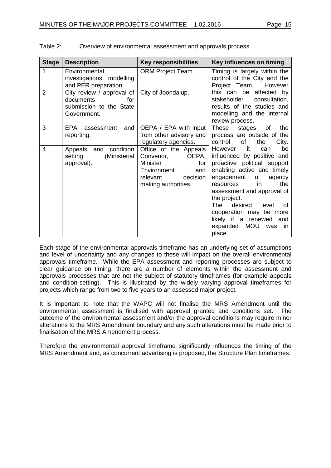| <b>Stage</b>   | <b>Description</b>                                                                      | <b>Key responsibilities</b>                                                                                                         | Key influences on timing                                                                                                                                                                                                                                                                                                                                                   |
|----------------|-----------------------------------------------------------------------------------------|-------------------------------------------------------------------------------------------------------------------------------------|----------------------------------------------------------------------------------------------------------------------------------------------------------------------------------------------------------------------------------------------------------------------------------------------------------------------------------------------------------------------------|
| 1              | Environmental<br>investigations, modelling<br>and PER preparation.                      | <b>ORM Project Team.</b>                                                                                                            | Timing is largely within the<br>control of the City and the<br>Project Team.<br>However                                                                                                                                                                                                                                                                                    |
| $\overline{2}$ | City review / approval of<br>for<br>documents<br>submission to the State<br>Government. | City of Joondalup.                                                                                                                  | this can be affected by<br>stakeholder<br>consultation,<br>results of the studies and<br>modelling and the internal<br>review process.                                                                                                                                                                                                                                     |
| 3              | EPA.<br>and<br>assessment<br>reporting.                                                 | OEPA / EPA with input<br>from other advisory and<br>regulatory agencies.                                                            | the<br>of<br>These<br>stages<br>process are outside of the<br>of<br>control<br>the<br>City.                                                                                                                                                                                                                                                                                |
| 4              | condition<br>Appeals and<br>setting<br>(Ministerial<br>approval).                       | Office of the Appeals<br>OEPA,<br>Convenor,<br>Minister<br>for<br>Environment<br>and<br>decision<br>relevant<br>making authorities. | be<br>However<br>∣ it<br>can<br>influenced by positive and<br>proactive political support<br>enabling active and timely<br>of<br>engagement<br>agency<br>the<br>in.<br>resources<br>assessment and approval of<br>the project.<br>The<br>desired<br>level<br>of<br>cooperation may be more<br>likely if a renewed<br>and<br>expanded<br><b>MOU</b><br>was<br>in.<br>place. |

| Table 2: | Overview of environmental assessment and approvals process |
|----------|------------------------------------------------------------|
|----------|------------------------------------------------------------|

Each stage of the environmental approvals timeframe has an underlying set of assumptions and level of uncertainty and any changes to these will impact on the overall environmental approvals timeframe. While the EPA assessment and reporting processes are subject to clear guidance on timing, there are a number of elements within the assessment and approvals processes that are not the subject of statutory timeframes (for example appeals and condition-setting). This is illustrated by the widely varying approval timeframes for projects which range from two to five years to an assessed major project.

It is important to note that the WAPC will not finalise the MRS Amendment until the environmental assessment is finalised with approval granted and conditions set. The outcome of the environmental assessment and/or the approval conditions may require minor alterations to the MRS Amendment boundary and any such alterations must be made prior to finalisation of the MRS Amendment process.

Therefore the environmental approval timeframe significantly influences the timing of the MRS Amendment and, as concurrent advertising is proposed, the Structure Plan timeframes.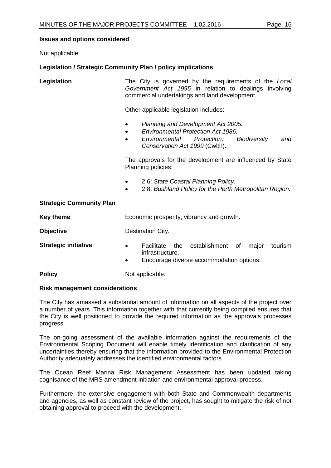# **Issues and options considered**

Not applicable.

# **Legislation / Strategic Community Plan / policy implications**

**Legislation** The City is governed by the requirements of the *Local Government Act 1995* in relation to dealings involving commercial undertakings and land development.

Other applicable legislation includes:

- *Planning and Development Act 2005.*
- *Environmental Protection Act 1986.*
- *Environmental Protection, Biodiversity and Conservation Act 1999* (Cwlth).

The approvals for the development are influenced by State Planning policies:

- 2.6: *State Coastal Planning Policy.*
- 2.8: *Bushland Policy for the Perth Metropolitan Region.*

# **Strategic Community Plan**

| Key theme                   | Economic prosperity, vibrancy and growth.                                                                                                    |  |
|-----------------------------|----------------------------------------------------------------------------------------------------------------------------------------------|--|
| <b>Objective</b>            | Destination City.                                                                                                                            |  |
| <b>Strategic initiative</b> | Facilitate the establishment of<br>major<br>tourism<br>$\bullet$<br>infrastructure.<br>Encourage diverse accommodation options.<br>$\bullet$ |  |

**Policy** Not applicable.

# **Risk management considerations**

The City has amassed a substantial amount of information on all aspects of the project over a number of years. This information together with that currently being compiled ensures that the City is well positioned to provide the required information as the approvals processes progress.

The on-going assessment of the available information against the requirements of the Environmental Scoping Document will enable timely identification and clarification of any uncertainties thereby ensuring that the information provided to the Environmental Protection Authority adequately addresses the identified environmental factors.

The Ocean Reef Marina Risk Management Assessment has been updated taking cognisance of the MRS amendment initiation and environmental approval process.

Furthermore, the extensive engagement with both State and Commonwealth departments and agencies, as well as constant review of the project, has sought to mitigate the risk of not obtaining approval to proceed with the development.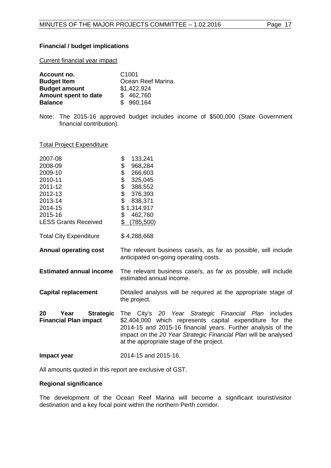# **Financial / budget implications**

Current financial year impact

| Account no.          | C <sub>1001</sub>  |
|----------------------|--------------------|
| <b>Budget Item</b>   | Ocean Reef Marina. |
| <b>Budget amount</b> | \$1,422,924        |
| Amount spent to date | \$462,760          |
| <b>Balance</b>       | \$960,164          |

Note: The 2015-16 approved budget includes income of \$500,000 (State Government financial contribution).

### Total Project Expenditure

| 2007-08                                                        | \$<br>133,241                                                                                                                                                                                                                                                                                   |  |
|----------------------------------------------------------------|-------------------------------------------------------------------------------------------------------------------------------------------------------------------------------------------------------------------------------------------------------------------------------------------------|--|
| 2008-09                                                        | 968,284                                                                                                                                                                                                                                                                                         |  |
| 2009-10                                                        | 266,603                                                                                                                                                                                                                                                                                         |  |
| 2010-11                                                        | \$\$\$\$\$<br>325,045                                                                                                                                                                                                                                                                           |  |
| 2011-12                                                        | 388,552                                                                                                                                                                                                                                                                                         |  |
| 2012-13                                                        | 376,393                                                                                                                                                                                                                                                                                         |  |
| 2013-14                                                        | \$<br>838,371                                                                                                                                                                                                                                                                                   |  |
| 2014-15                                                        | \$<br>1,314,917                                                                                                                                                                                                                                                                                 |  |
| 2015-16                                                        | \$<br>462,760                                                                                                                                                                                                                                                                                   |  |
| <b>LESS Grants Received</b>                                    | \$<br>(785, 500)                                                                                                                                                                                                                                                                                |  |
| <b>Total City Expenditure</b>                                  | \$4,288,668                                                                                                                                                                                                                                                                                     |  |
| <b>Annual operating cost</b>                                   | The relevant business case/s, as far as possible, will include<br>anticipated on-going operating costs.                                                                                                                                                                                         |  |
| <b>Estimated annual income</b>                                 | The relevant business case/s, as far as possible, will include<br>estimated annual income.                                                                                                                                                                                                      |  |
| <b>Capital replacement</b>                                     | Detailed analysis will be required at the appropriate stage of<br>the project.                                                                                                                                                                                                                  |  |
| 20<br><b>Strategic</b><br>Year<br><b>Financial Plan impact</b> | The City's 20 Year Strategic Financial Plan includes<br>\$2,404,000 which represents capital expenditure for the<br>2014-15 and 2015-16 financial years. Further analysis of the<br>impact on the 20 Year Strategic Financial Plan will be analysed<br>at the appropriate stage of the project. |  |
|                                                                |                                                                                                                                                                                                                                                                                                 |  |

All amounts quoted in this report are exclusive of GST.

#### **Regional significance**

The development of the Ocean Reef Marina will become a significant tourist/visitor destination and a key focal point within the northern Perth corridor.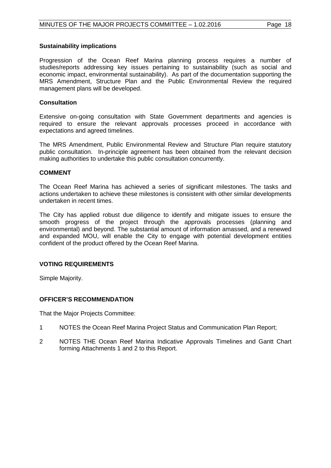#### **Sustainability implications**

Progression of the Ocean Reef Marina planning process requires a number of studies/reports addressing key issues pertaining to sustainability (such as social and economic impact, environmental sustainability). As part of the documentation supporting the MRS Amendment, Structure Plan and the Public Environmental Review the required management plans will be developed.

### **Consultation**

Extensive on-going consultation with State Government departments and agencies is required to ensure the relevant approvals processes proceed in accordance with expectations and agreed timelines.

The MRS Amendment, Public Environmental Review and Structure Plan require statutory public consultation. In-principle agreement has been obtained from the relevant decision making authorities to undertake this public consultation concurrently.

#### **COMMENT**

The Ocean Reef Marina has achieved a series of significant milestones. The tasks and actions undertaken to achieve these milestones is consistent with other similar developments undertaken in recent times.

The City has applied robust due diligence to identify and mitigate issues to ensure the smooth progress of the project through the approvals processes (planning and environmental) and beyond. The substantial amount of information amassed, and a renewed and expanded MOU, will enable the City to engage with potential development entities confident of the product offered by the Ocean Reef Marina.

# **VOTING REQUIREMENTS**

Simple Majority.

# **OFFICER'S RECOMMENDATION**

That the Major Projects Committee:

- 1 NOTES the Ocean Reef Marina Project Status and Communication Plan Report;
- 2 NOTES THE Ocean Reef Marina Indicative Approvals Timelines and Gantt Chart forming Attachments 1 and 2 to this Report.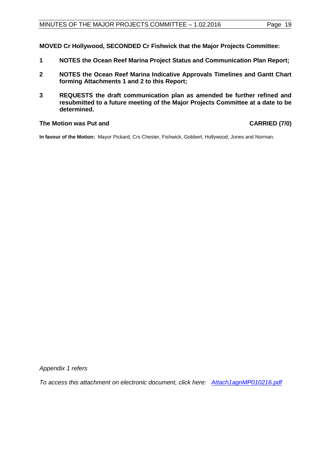**MOVED Cr Hollywood, SECONDED Cr Fishwick that the Major Projects Committee:**

- **1 NOTES the Ocean Reef Marina Project Status and Communication Plan Report;**
- **2 NOTES the Ocean Reef Marina Indicative Approvals Timelines and Gantt Chart forming Attachments 1 and 2 to this Report;**
- **3 REQUESTS the draft communication plan as amended be further refined and resubmitted to a future meeting of the Major Projects Committee at a date to be determined.**

# **The Motion was Put and CARRIED (7/0)**

**In favour of the Motion:** Mayor Pickard, Crs Chester, Fishwick, Gobbert, Hollywood, Jones and Norman.

*Appendix 1 refers*

*To access this attachment on electronic document, click here: <Attach1agnMP010216.pdf>*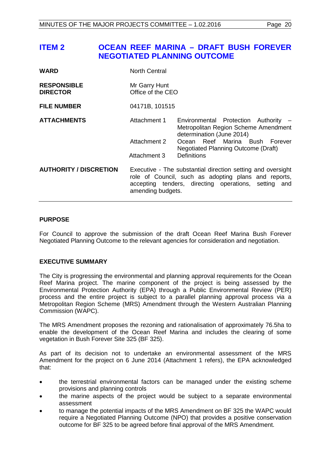# <span id="page-19-0"></span>**ITEM 2 OCEAN REEF MARINA – DRAFT BUSH FOREVER NEGOTIATED PLANNING OUTCOME**

| <b>WARD</b>                           | <b>North Central</b>                                                                                                                                                                             |                                                                                                           |  |
|---------------------------------------|--------------------------------------------------------------------------------------------------------------------------------------------------------------------------------------------------|-----------------------------------------------------------------------------------------------------------|--|
| <b>RESPONSIBLE</b><br><b>DIRECTOR</b> | Mr Garry Hunt<br>Office of the CEO                                                                                                                                                               |                                                                                                           |  |
| <b>FILE NUMBER</b>                    | 04171B, 101515                                                                                                                                                                                   |                                                                                                           |  |
| <b>ATTACHMENTS</b>                    | Attachment 1                                                                                                                                                                                     | Environmental Protection Authority -<br>Metropolitan Region Scheme Amendment<br>determination (June 2014) |  |
|                                       | Attachment 2                                                                                                                                                                                     | Ocean Reef Marina Bush Forever<br><b>Negotiated Planning Outcome (Draft)</b>                              |  |
|                                       | Attachment 3                                                                                                                                                                                     | <b>Definitions</b>                                                                                        |  |
| <b>AUTHORITY / DISCRETION</b>         | Executive - The substantial direction setting and oversight<br>role of Council, such as adopting plans and reports,<br>accepting tenders, directing operations, setting and<br>amending budgets. |                                                                                                           |  |

# **PURPOSE**

For Council to approve the submission of the draft Ocean Reef Marina Bush Forever Negotiated Planning Outcome to the relevant agencies for consideration and negotiation.

# **EXECUTIVE SUMMARY**

The City is progressing the environmental and planning approval requirements for the Ocean Reef Marina project. The marine component of the project is being assessed by the Environmental Protection Authority (EPA) through a Public Environmental Review (PER) process and the entire project is subject to a parallel planning approval process via a Metropolitan Region Scheme (MRS) Amendment through the Western Australian Planning Commission (WAPC).

The MRS Amendment proposes the rezoning and rationalisation of approximately 76.5ha to enable the development of the Ocean Reef Marina and includes the clearing of some vegetation in Bush Forever Site 325 (BF 325).

As part of its decision not to undertake an environmental assessment of the MRS Amendment for the project on 6 June 2014 (Attachment 1 refers), the EPA acknowledged that:

- the terrestrial environmental factors can be managed under the existing scheme provisions and planning controls
- the marine aspects of the project would be subject to a separate environmental assessment
- to manage the potential impacts of the MRS Amendment on BF 325 the WAPC would require a Negotiated Planning Outcome (NPO) that provides a positive conservation outcome for BF 325 to be agreed before final approval of the MRS Amendment.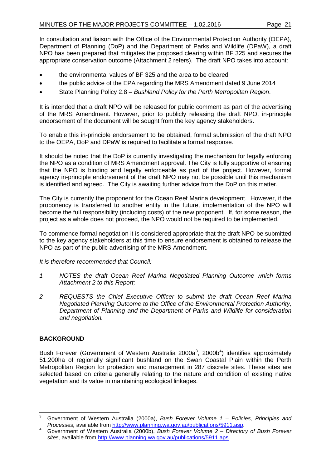In consultation and liaison with the Office of the Environmental Protection Authority (OEPA), Department of Planning (DoP) and the Department of Parks and Wildlife (DPaW), a draft NPO has been prepared that mitigates the proposed clearing within BF 325 and secures the appropriate conservation outcome (Attachment 2 refers). The draft NPO takes into account:

- the environmental values of BF 325 and the area to be cleared
- the public advice of the EPA regarding the MRS Amendment dated 9 June 2014
- State Planning Policy 2.8 *Bushland Policy for the Perth Metropolitan Region*.

It is intended that a draft NPO will be released for public comment as part of the advertising of the MRS Amendment. However, prior to publicly releasing the draft NPO, in-principle endorsement of the document will be sought from the key agency stakeholders.

To enable this in-principle endorsement to be obtained, formal submission of the draft NPO to the OEPA, DoP and DPaW is required to facilitate a formal response.

It should be noted that the DoP is currently investigating the mechanism for legally enforcing the NPO as a condition of MRS Amendment approval. The City is fully supportive of ensuring that the NPO is binding and legally enforceable as part of the project. However, formal agency in-principle endorsement of the draft NPO may not be possible until this mechanism is identified and agreed. The City is awaiting further advice from the DoP on this matter.

The City is currently the proponent for the Ocean Reef Marina development. However, if the proponency is transferred to another entity in the future, implementation of the NPO will become the full responsibility (including costs) of the new proponent. If, for some reason, the project as a whole does not proceed, the NPO would not be required to be implemented.

To commence formal negotiation it is considered appropriate that the draft NPO be submitted to the key agency stakeholders at this time to ensure endorsement is obtained to release the NPO as part of the public advertising of the MRS Amendment.

*It is therefore recommended that Council:*

- *1 NOTES the draft Ocean Reef Marina Negotiated Planning Outcome which forms Attachment 2 to this Report;*
- *2 REQUESTS the Chief Executive Officer to submit the draft Ocean Reef Marina Negotiated Planning Outcome to the Office of the Environmental Protection Authority, Department of Planning and the Department of Parks and Wildlife for consideration and negotiation.*

# **BACKGROUND**

Bush Forever (Government of Western Australia 2000a<sup>[3](#page-20-0)</sup>, 2000b<sup>[4](#page-20-1)</sup>) identifies approximately 51,200ha of regionally significant bushland on the Swan Coastal Plain within the Perth Metropolitan Region for protection and management in 287 discrete sites. These sites are selected based on criteria generally relating to the nature and condition of existing native vegetation and its value in maintaining ecological linkages.

<span id="page-20-0"></span>Government of Western Australia (2000a), *Bush Forever Volume 1 – Policies, Principles and Processes, available from http://www.planning.wa.gov.au/publications/5911.asp.* 

<span id="page-20-1"></span>Government of Western Australia (2000b), *Bush Forever Volume 2 – Directory of Bush Forever* sites, available from http://www.planning.wa.gov.au/publications/5911.aps.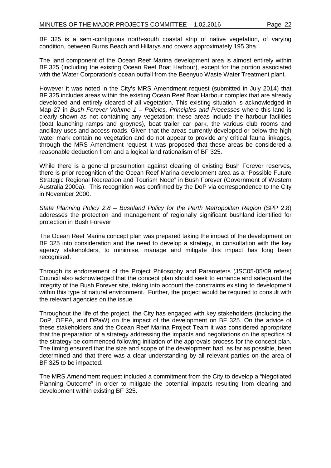BF 325 is a semi-contiguous north-south coastal strip of native vegetation, of varying condition, between Burns Beach and Hillarys and covers approximately 195.3ha.

The land component of the Ocean Reef Marina development area is almost entirely within BF 325 (including the existing Ocean Reef Boat Harbour), except for the portion associated with the Water Corporation's ocean outfall from the Beenyup Waste Water Treatment plant.

However it was noted in the City's MRS Amendment request (submitted in July 2014) that BF 325 includes areas within the existing Ocean Reef Boat Harbour complex that are already developed and entirely cleared of all vegetation. This existing situation is acknowledged in Map 27 in *Bush Forever Volume 1 – Policies, Principles and Processes* where this land is clearly shown as not containing any vegetation; these areas include the harbour facilities (boat launching ramps and groynes), boat trailer car park, the various club rooms and ancillary uses and access roads. Given that the areas currently developed or below the high water mark contain no vegetation and do not appear to provide any critical fauna linkages, through the MRS Amendment request it was proposed that these areas be considered a reasonable deduction from and a logical land rationalism of BF 325.

While there is a general presumption against clearing of existing Bush Forever reserves, there is prior recognition of the Ocean Reef Marina development area as a "Possible Future Strategic Regional Recreation and Tourism Node" in Bush Forever (Government of Western Australia 2000a). This recognition was confirmed by the DoP via correspondence to the City in November 2000.

*State Planning Policy 2.8 – Bushland Policy for the Perth Metropolitan Region* (SPP 2.8) addresses the protection and management of regionally significant bushland identified for protection in Bush Forever.

The Ocean Reef Marina concept plan was prepared taking the impact of the development on BF 325 into consideration and the need to develop a strategy, in consultation with the key agency stakeholders, to minimise, manage and mitigate this impact has long been recognised.

Through its endorsement of the Project Philosophy and Parameters (JSC05-05/09 refers) Council also acknowledged that the concept plan should seek to enhance and safeguard the integrity of the Bush Forever site, taking into account the constraints existing to development within this type of natural environment. Further, the project would be required to consult with the relevant agencies on the issue.

Throughout the life of the project, the City has engaged with key stakeholders (including the DoP, OEPA, and DPaW) on the impact of the development on BF 325. On the advice of these stakeholders and the Ocean Reef Marina Project Team it was considered appropriate that the preparation of a strategy addressing the impacts and negotiations on the specifics of the strategy be commenced following initiation of the approvals process for the concept plan. The timing ensured that the size and scope of the development had, as far as possible, been determined and that there was a clear understanding by all relevant parties on the area of BF 325 to be impacted.

The MRS Amendment request included a commitment from the City to develop a "Negotiated Planning Outcome" in order to mitigate the potential impacts resulting from clearing and development within existing BF 325.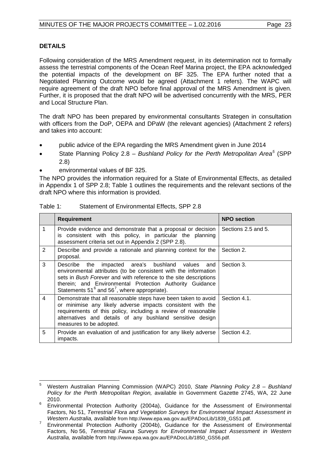# **DETAILS**

Following consideration of the MRS Amendment request, in its determination not to formally assess the terrestrial components of the Ocean Reef Marina project, the EPA acknowledged the potential impacts of the development on BF 325. The EPA further noted that a Negotiated Planning Outcome would be agreed (Attachment 1 refers). The WAPC will require agreement of the draft NPO before final approval of the MRS Amendment is given. Further, it is proposed that the draft NPO will be advertised concurrently with the MRS, PER and Local Structure Plan.

The draft NPO has been prepared by environmental consultants Strategen in consultation with officers from the DoP, OEPA and DPaW (the relevant agencies) (Attachment 2 refers) and takes into account:

- public advice of the EPA regarding the MRS Amendment given in June 2014
- State Planning Policy 2.8 *Bushland Policy for the Perth Metropolitan Area[5](#page-22-0)* (SPP 2.8)
- environmental values of BF 325.

The NPO provides the information required for a State of Environmental Effects, as detailed in Appendix 1 of SPP 2.8; Table 1 outlines the requirements and the relevant sections of the draft NPO where this information is provided.

| Table 1: | Statement of Environmental Effects, SPP 2.8 |
|----------|---------------------------------------------|
|----------|---------------------------------------------|

|   | <b>Requirement</b>                                                                                                                                                                                                                                                                                                 | <b>NPO section</b>  |
|---|--------------------------------------------------------------------------------------------------------------------------------------------------------------------------------------------------------------------------------------------------------------------------------------------------------------------|---------------------|
|   | Provide evidence and demonstrate that a proposal or decision<br>is consistent with this policy, in particular the planning<br>assessment criteria set out in Appendix 2 (SPP 2.8).                                                                                                                                 | Sections 2.5 and 5. |
| 2 | Describe and provide a rationale and planning context for the<br>proposal.                                                                                                                                                                                                                                         | Section 2.          |
| 3 | impacted area's bushland values<br>Describe<br>the<br>and<br>environmental attributes (to be consistent with the information<br>sets in Bush Forever and with reference to the site descriptions<br>therein; and Environmental Protection Authority Guidance<br>Statements $51^6$ and $56^7$ , where appropriate). | Section 3.          |
| 4 | Demonstrate that all reasonable steps have been taken to avoid<br>or minimise any likely adverse impacts consistent with the<br>requirements of this policy, including a review of reasonable<br>alternatives and details of any bushland sensitive design<br>measures to be adopted.                              | Section 4.1.        |
| 5 | Provide an evaluation of and justification for any likely adverse<br>impacts.                                                                                                                                                                                                                                      | Section 4.2.        |

<span id="page-22-0"></span> <sup>5</sup> Western Australian Planning Commission (WAPC) 2010, *State Planning Policy 2.8 – Bushland Policy for the Perth Metropolitan Region,* available in Government Gazette 2745, WA, 22 June 2010.

<span id="page-22-1"></span><sup>6</sup> Environmental Protection Authority (2004a), Guidance for the Assessment of Environmental Factors, No 51, *Terrestrial Flora and Vegetation Surveys for Environmental Impact Assessment in*<br>Western Australia, available from http://www.epa.wa.gov.au/EPADocLib/1839\_GS51.pdf.

<span id="page-22-2"></span><sup>&</sup>lt;sup>7</sup> Environmental Protection Authority (2004b), Guidance for the Assessment of Environmental Factors, No 56, *Terrestrial Fauna Surveys for Environmental Impact Assessment in Western Australia,* available from http://www.epa.wa.gov.au/EPADocLib/1850\_GS56.pdf.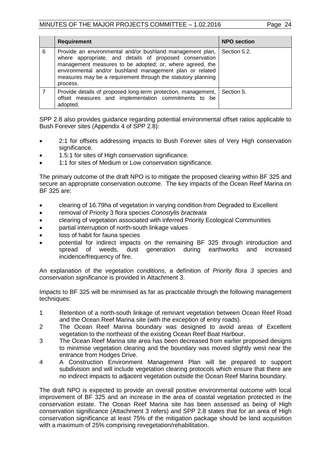|   | <b>Requirement</b>                                                                                                                                                                                                                                                                                                       | <b>NPO section</b> |
|---|--------------------------------------------------------------------------------------------------------------------------------------------------------------------------------------------------------------------------------------------------------------------------------------------------------------------------|--------------------|
| 6 | Provide an environmental and/or bushland management plan,<br>where appropriate, and details of proposed conservation<br>management measures to be adopted; or, where agreed, the<br>environmental and/or bushland management plan or related<br>measures may be a requirement through the statutory planning<br>process. | Section 5.2.       |
|   | Provide details of proposed long-term protection, management,<br>offset measures and implementation commitments to be<br>adopted.                                                                                                                                                                                        | Section 5.         |

SPP 2.8 also provides guidance regarding potential environmental offset ratios applicable to Bush Forever sites (Appendix 4 of SPP 2.8):

- 2:1 for offsets addressing impacts to Bush Forever sites of Very High conservation significance.
- 1.5:1 for sites of High conservation significance.
- 1:1 for sites of Medium or Low conservation significance.

The primary outcome of the draft NPO is to mitigate the proposed clearing within BF 325 and secure an appropriate conservation outcome. The key impacts of the Ocean Reef Marina on BF 325 are:

- clearing of 16.79ha of vegetation in varying condition from Degraded to Excellent
- removal of Priority 3 flora species *Conostylis bracteata*
- clearing of vegetation associated with inferred Priority Ecological Communities
- partial interruption of north-south linkage values
- loss of habit for fauna species
- potential for indirect impacts on the remaining BF 325 through introduction and spread of weeds, dust generation during earthworks and increased incidence/frequency of fire.

An explanation of the *vegetation conditions*, a definition of *Priority flora 3 species* and *conservation significance* is provided in Attachment 3.

Impacts to BF 325 will be minimised as far as practicable through the following management techniques:

- 1 Retention of a north-south linkage of remnant vegetation between Ocean Reef Road and the Ocean Reef Marina site (with the exception of entry roads).
- 2 The Ocean Reef Marina boundary was designed to avoid areas of Excellent vegetation to the northeast of the existing Ocean Reef Boat Harbour.
- 3 The Ocean Reef Marina site area has been decreased from earlier proposed designs to minimise vegetation clearing and the boundary was moved slightly west near the entrance from Hodges Drive.
- 4 A Construction Environment Management Plan will be prepared to support subdivision and will include vegetation clearing protocols which ensure that there are no indirect impacts to adjacent vegetation outside the Ocean Reef Marina boundary.

The draft NPO is expected to provide an overall positive environmental outcome with local improvement of BF 325 and an increase in the area of coastal vegetation protected in the conservation estate. The Ocean Reef Marina site has been assessed as being of High conservation significance (Attachment 3 refers) and SPP 2.8 states that for an area of High conservation significance at least 75% of the mitigation package should be land acquisition with a maximum of 25% comprising revegetation/rehabilitation.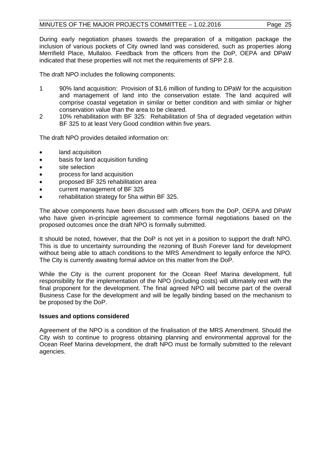During early negotiation phases towards the preparation of a mitigation package the inclusion of various pockets of City owned land was considered, such as properties along Merrifield Place, Mullaloo. Feedback from the officers from the DoP, OEPA and DPaW indicated that these properties will not met the requirements of SPP 2.8.

The draft NPO includes the following components:

- 1 90% land acquisition: Provision of \$1.6 million of funding to DPaW for the acquisition and management of land into the conservation estate. The land acquired will comprise coastal vegetation in similar or better condition and with similar or higher conservation value than the area to be cleared.
- 2 10% rehabilitation with BF 325: Rehabilitation of 5ha of degraded vegetation within BF 325 to at least Very Good condition within five years.

The draft NPO provides detailed information on:

- land acquisition
- basis for land acquisition funding
- site selection
- process for land acquisition
- proposed BF 325 rehabilitation area
- current management of BF 325
- rehabilitation strategy for 5ha within BF 325.

The above components have been discussed with officers from the DoP, OEPA and DPaW who have given in-principle agreement to commence formal negotiations based on the proposed outcomes once the draft NPO is formally submitted.

It should be noted, however, that the DoP is not yet in a position to support the draft NPO. This is due to uncertainty surrounding the rezoning of Bush Forever land for development without being able to attach conditions to the MRS Amendment to legally enforce the NPO. The City is currently awaiting formal advice on this matter from the DoP.

While the City is the current proponent for the Ocean Reef Marina development, full responsibility for the implementation of the NPO (including costs) will ultimately rest with the final proponent for the development. The final agreed NPO will become part of the overall Business Case for the development and will be legally binding based on the mechanism to be proposed by the DoP.

# **Issues and options considered**

Agreement of the NPO is a condition of the finalisation of the MRS Amendment. Should the City wish to continue to progress obtaining planning and environmental approval for the Ocean Reef Marina development, the draft NPO must be formally submitted to the relevant agencies.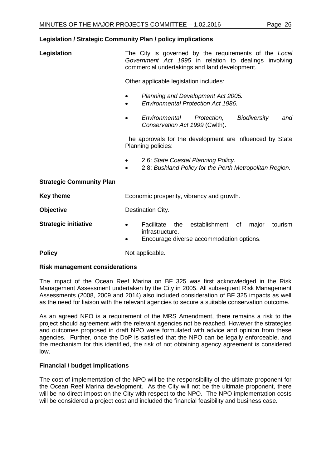# **Legislation / Strategic Community Plan / policy implications**

| Legislation                     | The City is governed by the requirements of the Local<br>Government Act 1995 in relation to dealings involving<br>commercial undertakings and land development. |  |
|---------------------------------|-----------------------------------------------------------------------------------------------------------------------------------------------------------------|--|
|                                 | Other applicable legislation includes:                                                                                                                          |  |
|                                 | Planning and Development Act 2005.<br><b>Environmental Protection Act 1986.</b>                                                                                 |  |
|                                 | Environmental<br>Protection,<br><b>Biodiversity</b><br>and<br>Conservation Act 1999 (Cwlth).                                                                    |  |
|                                 | The approvals for the development are influenced by State<br>Planning policies:                                                                                 |  |
|                                 | 2.6: State Coastal Planning Policy.<br>2.8: Bushland Policy for the Perth Metropolitan Region.                                                                  |  |
| <b>Strategic Community Plan</b> |                                                                                                                                                                 |  |
| <b>Key theme</b>                | Economic prosperity, vibrancy and growth.                                                                                                                       |  |
| <b>Objective</b>                | Destination City.                                                                                                                                               |  |
| <b>Strategic initiative</b>     | Facilitate<br>establishment<br>the<br>major<br>tourism<br>of<br>$\bullet$<br>infrastructure.<br>Encourage diverse accommodation options.                        |  |

# **Policy** Not applicable.

# **Risk management considerations**

The impact of the Ocean Reef Marina on BF 325 was first acknowledged in the Risk Management Assessment undertaken by the City in 2005. All subsequent Risk Management Assessments (2008, 2009 and 2014) also included consideration of BF 325 impacts as well as the need for liaison with the relevant agencies to secure a suitable conservation outcome.

As an agreed NPO is a requirement of the MRS Amendment, there remains a risk to the project should agreement with the relevant agencies not be reached. However the strategies and outcomes proposed in draft NPO were formulated with advice and opinion from these agencies. Further, once the DoP is satisfied that the NPO can be legally enforceable, and the mechanism for this identified, the risk of not obtaining agency agreement is considered low.

# **Financial / budget implications**

The cost of implementation of the NPO will be the responsibility of the ultimate proponent for the Ocean Reef Marina development. As the City will not be the ultimate proponent, there will be no direct impost on the City with respect to the NPO. The NPO implementation costs will be considered a project cost and included the financial feasibility and business case.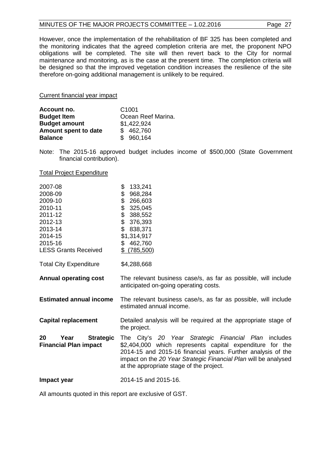# MINUTES OF THE MAJOR PROJECTS COMMITTEE - 1.02.2016 Page 27

However, once the implementation of the rehabilitation of BF 325 has been completed and the monitoring indicates that the agreed completion criteria are met, the proponent NPO obligations will be completed. The site will then revert back to the City for normal maintenance and monitoring, as is the case at the present time. The completion criteria will be designed so that the improved vegetation condition increases the resilience of the site therefore on-going additional management is unlikely to be required.

Current financial year impact

| Account no.          | C <sub>1001</sub>  |  |
|----------------------|--------------------|--|
| <b>Budget Item</b>   | Ocean Reef Marina. |  |
| <b>Budget amount</b> | \$1,422,924        |  |
| Amount spent to date | \$462,760          |  |
| <b>Balance</b>       | \$960,164          |  |

Note: The 2015-16 approved budget includes income of \$500,000 (State Government financial contribution).

#### Total Project Expenditure

| 2007-08<br>2008-09<br>2009-10<br>2010-11<br>2011-12<br>2012-13<br>2013-14<br>2014-15<br>2015-16<br><b>LESS Grants Received</b> | \$<br>133,241<br>\$<br>968,284<br>\$<br>266,603<br>\$<br>325,045<br>\$<br>388,552<br>\$<br>376,393<br>\$<br>838,371<br>\$1,314,917<br>\$462,760<br>\$ (785,500)                                                                                                                                 |  |
|--------------------------------------------------------------------------------------------------------------------------------|-------------------------------------------------------------------------------------------------------------------------------------------------------------------------------------------------------------------------------------------------------------------------------------------------|--|
| <b>Total City Expenditure</b>                                                                                                  | \$4,288,668                                                                                                                                                                                                                                                                                     |  |
| <b>Annual operating cost</b>                                                                                                   | The relevant business case/s, as far as possible, will include<br>anticipated on-going operating costs.                                                                                                                                                                                         |  |
| <b>Estimated annual income</b>                                                                                                 | The relevant business case/s, as far as possible, will include<br>estimated annual income.                                                                                                                                                                                                      |  |
| <b>Capital replacement</b>                                                                                                     | Detailed analysis will be required at the appropriate stage of<br>the project.                                                                                                                                                                                                                  |  |
| 20<br><b>Strategic</b><br>Year<br><b>Financial Plan impact</b>                                                                 | The City's 20 Year Strategic Financial Plan includes<br>\$2,404,000 which represents capital expenditure for the<br>2014-15 and 2015-16 financial years. Further analysis of the<br>impact on the 20 Year Strategic Financial Plan will be analysed<br>at the appropriate stage of the project. |  |
| Impact year                                                                                                                    | 2014-15 and 2015-16.                                                                                                                                                                                                                                                                            |  |

All amounts quoted in this report are exclusive of GST.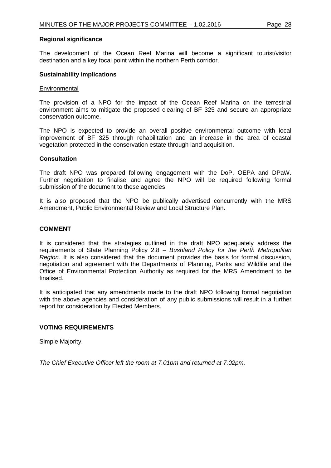### **Regional significance**

The development of the Ocean Reef Marina will become a significant tourist/visitor destination and a key focal point within the northern Perth corridor.

#### **Sustainability implications**

#### **Environmental**

The provision of a NPO for the impact of the Ocean Reef Marina on the terrestrial environment aims to mitigate the proposed clearing of BF 325 and secure an appropriate conservation outcome.

The NPO is expected to provide an overall positive environmental outcome with local improvement of BF 325 through rehabilitation and an increase in the area of coastal vegetation protected in the conservation estate through land acquisition.

#### **Consultation**

The draft NPO was prepared following engagement with the DoP, OEPA and DPaW. Further negotiation to finalise and agree the NPO will be required following formal submission of the document to these agencies.

It is also proposed that the NPO be publically advertised concurrently with the MRS Amendment, Public Environmental Review and Local Structure Plan.

### **COMMENT**

It is considered that the strategies outlined in the draft NPO adequately address the requirements of State Planning Policy 2.8 – *Bushland Policy for the Perth Metropolitan Region*. It is also considered that the document provides the basis for formal discussion, negotiation and agreement with the Departments of Planning, Parks and Wildlife and the Office of Environmental Protection Authority as required for the MRS Amendment to be finalised.

It is anticipated that any amendments made to the draft NPO following formal negotiation with the above agencies and consideration of any public submissions will result in a further report for consideration by Elected Members.

# **VOTING REQUIREMENTS**

Simple Majority.

*The Chief Executive Officer left the room at 7.01pm and returned at 7.02pm.*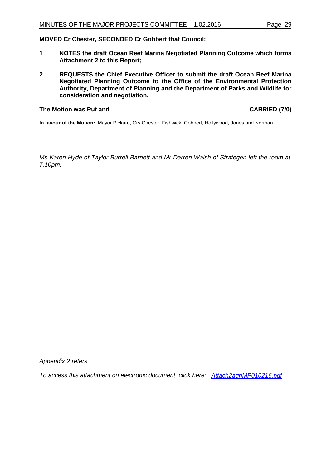# **MOVED Cr Chester, SECONDED Cr Gobbert that Council:**

- **1 NOTES the draft Ocean Reef Marina Negotiated Planning Outcome which forms Attachment 2 to this Report;**
- **2 REQUESTS the Chief Executive Officer to submit the draft Ocean Reef Marina Negotiated Planning Outcome to the Office of the Environmental Protection Authority, Department of Planning and the Department of Parks and Wildlife for consideration and negotiation.**

## **The Motion was Put and CARRIED (7/0)**

**In favour of the Motion:** Mayor Pickard, Crs Chester, Fishwick, Gobbert, Hollywood, Jones and Norman.

*Ms Karen Hyde of Taylor Burrell Barnett and Mr Darren Walsh of Strategen left the room at 7.10pm.*

*Appendix 2 refers*

*To access this attachment on electronic document, click here: <Attach2agnMP010216.pdf>*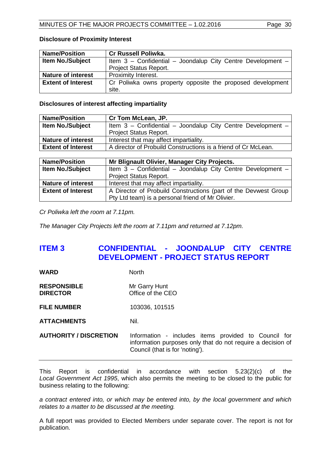# **Disclosure of Proximity Interest**

| <b>Name/Position</b>      | <b>Cr Russell Poliwka.</b>                                  |
|---------------------------|-------------------------------------------------------------|
| <b>Item No./Subject</b>   | Item 3 - Confidential - Joondalup City Centre Development - |
|                           | Project Status Report.                                      |
| <b>Nature of interest</b> | Proximity Interest.                                         |
| <b>Extent of Interest</b> | Cr Poliwka owns property opposite the proposed development  |
|                           | site.                                                       |

# **Disclosures of interest affecting impartiality**

| <b>Name/Position</b>                 | Cr Tom McLean, JP.                                             |  |
|--------------------------------------|----------------------------------------------------------------|--|
| <b>Item No./Subject</b>              | Item 3 - Confidential - Joondalup City Centre Development -    |  |
|                                      | <b>Project Status Report.</b>                                  |  |
| <b>Nature of interest</b>            | Interest that may affect impartiality.                         |  |
| <b>Extent of Interest</b>            | A director of Probuild Constructions is a friend of Cr McLean. |  |
|                                      |                                                                |  |
| . .<br>.<br>$\overline{\phantom{a}}$ | -----<br>-- --<br>--<br>.                                      |  |

| <b>Name/Position</b>      | Mr Blignault Olivier, Manager City Projects.                    |  |
|---------------------------|-----------------------------------------------------------------|--|
| <b>Item No./Subject</b>   | Item 3 - Confidential - Joondalup City Centre Development -     |  |
|                           | <b>Project Status Report.</b>                                   |  |
| <b>Nature of interest</b> | Interest that may affect impartiality.                          |  |
| <b>Extent of Interest</b> | A Director of Probuild Constructions (part of the Devwest Group |  |
|                           | Pty Ltd team) is a personal friend of Mr Olivier.               |  |

*Cr Poliwka left the room at 7.11pm.*

*The Manager City Projects left the room at 7.11pm and returned at 7.12pm.*

# <span id="page-29-0"></span>**ITEM 3 CONFIDENTIAL - JOONDALUP CITY CENTRE DEVELOPMENT - PROJECT STATUS REPORT**

| WARD | <b>North</b> |
|------|--------------|
|------|--------------|

**RESPONSIBLE** Mr Garry Hunt **DIRECTOR** Office of the CEO

**FILE NUMBER** 103036, 101515

**ATTACHMENTS** Nil.

**AUTHORITY / DISCRETION** Information - includes items provided to Council for information purposes only that do not require a decision of Council (that is for 'noting').

This Report is confidential in accordance with section 5.23(2)(c) of the *Local Government Act 1995*, which also permits the meeting to be closed to the public for business relating to the following:

*a contract entered into, or which may be entered into, by the local government and which relates to a matter to be discussed at the meeting.*

A full report was provided to Elected Members under separate cover. The report is not for publication.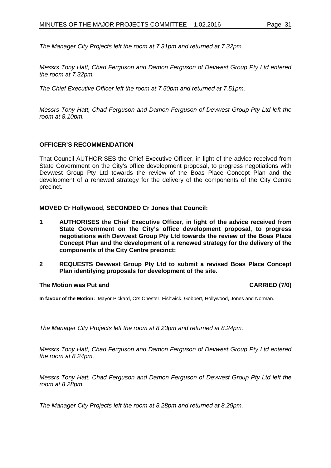*The Manager City Projects left the room at 7.31pm and returned at 7.32pm.*

*Messrs Tony Hatt, Chad Ferguson and Damon Ferguson of Devwest Group Pty Ltd entered the room at 7.32pm.*

*The Chief Executive Officer left the room at 7.50pm and returned at 7.51pm.*

*Messrs Tony Hatt, Chad Ferguson and Damon Ferguson of Devwest Group Pty Ltd left the room at 8.10pm.*

# **OFFICER'S RECOMMENDATION**

That Council AUTHORISES the Chief Executive Officer, in light of the advice received from State Government on the City's office development proposal, to progress negotiations with Devwest Group Pty Ltd towards the review of the Boas Place Concept Plan and the development of a renewed strategy for the delivery of the components of the City Centre precinct.

**MOVED Cr Hollywood, SECONDED Cr Jones that Council:**

- **1 AUTHORISES the Chief Executive Officer, in light of the advice received from State Government on the City's office development proposal, to progress negotiations with Devwest Group Pty Ltd towards the review of the Boas Place Concept Plan and the development of a renewed strategy for the delivery of the components of the City Centre precinct;**
- **2 REQUESTS Devwest Group Pty Ltd to submit a revised Boas Place Concept Plan identifying proposals for development of the site.**

# **The Motion was Put and CARRIED (7/0)**

**In favour of the Motion:** Mayor Pickard, Crs Chester, Fishwick, Gobbert, Hollywood, Jones and Norman.

*The Manager City Projects left the room at 8.23pm and returned at 8.24pm.*

*Messrs Tony Hatt, Chad Ferguson and Damon Ferguson of Devwest Group Pty Ltd entered the room at 8.24pm.*

*Messrs Tony Hatt, Chad Ferguson and Damon Ferguson of Devwest Group Pty Ltd left the room at 8.28pm.*

*The Manager City Projects left the room at 8.28pm and returned at 8.29pm.*